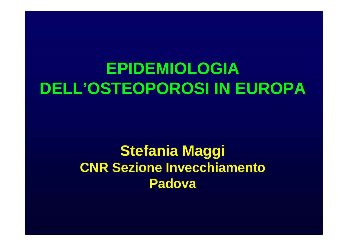# **EPIDEMIOLOGIA DELL'OSTEOPOROSI IN EUROPA**

## **Stefania Maggi CNR Sezione Invecchiamento Padova**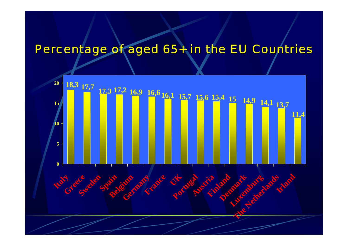# Percentage of aged 65+ in the EU Countries

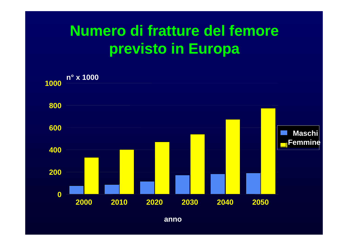# **Numero di fratture del femore previsto in Europa**



**anno**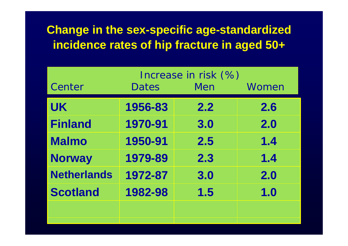## **Change in the sex-specific age-standardized incidence rates of hip fracture in aged 50+**

|                    | Increase in risk (%) |     |       |
|--------------------|----------------------|-----|-------|
| Center             | <b>Dates</b>         | Men | Women |
| <b>UK</b>          | 1956-83              | 2.2 | 2.6   |
| <b>Finland</b>     | 1970-91              | 3.0 | 2.0   |
| <b>Malmo</b>       | 1950-91              | 2.5 | 1.4   |
| <b>Norway</b>      | 1979-89              | 2.3 | 1.4   |
| <b>Netherlands</b> | 1972-87              | 3.0 | 2.0   |
| <b>Scotland</b>    | 1982-98              | 1.5 | 1.0   |
|                    |                      |     |       |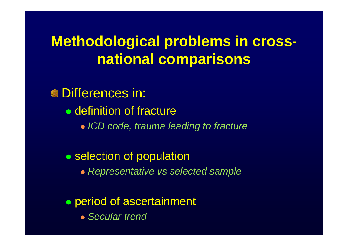# **Methodological problems in crossnational comparisons**

**S**Differences in: • definition of fracture z *ICD code, trauma leading to fracture* • selection of population

**• Representative vs selected sample** 

• period of ascertainment z *Secular trend*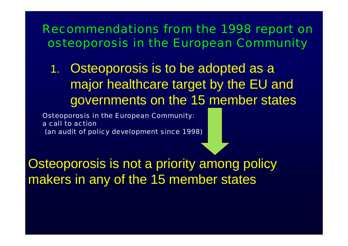1. Osteoporosis is to be adopted as a major healthcare target by the EU and governments on the 15 member states

Osteoporosis in t he European C ommunity: a call to action(an audit of policy development since 1998)

Osteoporosis is not a priority among policy makers in any of the 15 member states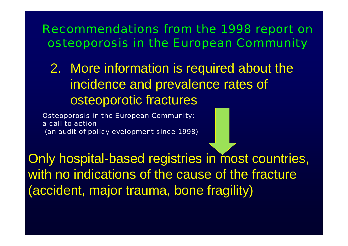2. More information is required about the incidence and prevalence rates of osteoporotic fractures

Osteoporosis in t he European C ommunity: a call to action(an audit of policy evelopment since 1998)

Only hospital-based registries in most countries, with no indications of the cause of the fracture (accident, major trauma, bone fragility)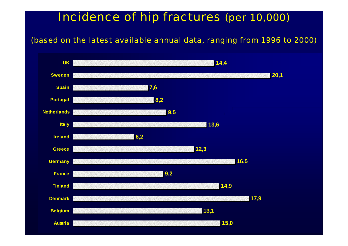#### Incidence of hip fractures *(per 10,000)*

*(based on the latest available annual data, ranging from 1996 to 2000)*

|                | UK <b>MARKA WAS ARRESTED FOR A START OF A START OF A START OF A START OF A START OF A START OF A START OF A START OF A START OF A START OF A START OF A START OF A START OF A START OF A START OF A START OF A START OF A START </b>         |
|----------------|----------------------------------------------------------------------------------------------------------------------------------------------------------------------------------------------------------------------------------------------|
|                | 120,1<br>Sweden <b>Sweden</b> (1999) and the second control of the second control of the second control of the second control of the second control of the second control of the second control of the second control of the second control  |
|                | Spain 7,6                                                                                                                                                                                                                                    |
|                | <b>1989.2 8,2</b><br>Portugal <b>Professional Profession</b>                                                                                                                                                                                 |
|                | Netherlands <b>19.5</b>                                                                                                                                                                                                                      |
|                | <u>Italy and the second second second second second second second second second second second second second second</u>                                                                                                                       |
|                | <b>Ireland</b> 6,2                                                                                                                                                                                                                           |
|                | Greece <b>12,3</b>                                                                                                                                                                                                                           |
|                | Germany <b>Executive Contract Contract Contract Contract Contract Contract Contract Contract Contract Contract Contract Contract Contract Contract Contract Contract Contract Contract Contract Contract Contract Contract Contr</b><br>16,5 |
|                | France 9,2                                                                                                                                                                                                                                   |
|                | 14,9<br>Finland <b>Finland Finland</b>                                                                                                                                                                                                       |
|                | Denmark <b>But and Security Construction of the Construction</b><br>17,9                                                                                                                                                                     |
|                | <b>Belgium 13,1</b>                                                                                                                                                                                                                          |
| <b>Austria</b> | 415,0                                                                                                                                                                                                                                        |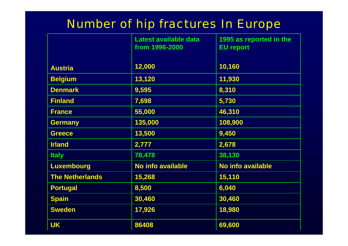### Number of hip fractures In Europe

|                        | Latest available data<br>from 1996-2000 | 1995 as reported in the<br><b>EU report</b> |
|------------------------|-----------------------------------------|---------------------------------------------|
| <b>Austria</b>         | 12,000                                  | 10,160                                      |
| <b>Belgium</b>         | 13,120                                  | 11,930                                      |
| <b>Denmark</b>         | 9,595                                   | 8,310                                       |
| <b>Finland</b>         | 7,698                                   | 5,730                                       |
| <b>France</b>          | 55,000                                  | 46,310                                      |
| <b>Germany</b>         | 135,000                                 | 108,900                                     |
| <b>Greece</b>          | 13,500                                  | 9,450                                       |
| <b>Irland</b>          | 2,777                                   | 2,678                                       |
| <b>Italy</b>           | 78,478                                  | 38,130                                      |
| <b>Luxembourg</b>      | <b>No info available</b>                | <b>No info available</b>                    |
| <b>The Netherlands</b> | 15,268                                  | 15,110                                      |
| <b>Portugal</b>        | 8,500                                   | 6,040                                       |
| <b>Spain</b>           | 30,460                                  | 30,460                                      |
| <b>Sweden</b>          | 17,926                                  | 18,980                                      |
| <b>UK</b>              | 86408                                   | 69,600                                      |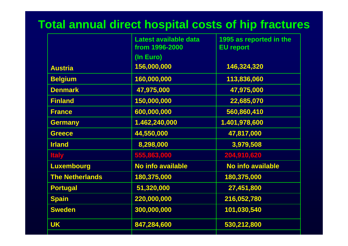### **Total annual direct hospital costs of hip fractures**

|                        | Latest available data<br>from 1996-2000 | 1995 as reported in the<br><b>EU report</b> |
|------------------------|-----------------------------------------|---------------------------------------------|
|                        | (In Euro)                               |                                             |
| <b>Austria</b>         | 156,000,000                             | 146,324,320                                 |
| <b>Belgium</b>         | 160,000,000                             | 113,836,060                                 |
| <b>Denmark</b>         | 47,975,000                              | 47,975,000                                  |
| <b>Finland</b>         | 150,000,000                             | 22,685,070                                  |
| <b>France</b>          | 600,000,000                             | 560,860,410                                 |
| <b>Germany</b>         | 1.462,240,000                           | 1.401,978,600                               |
| <b>Greece</b>          | 44,550,000                              | 47,817,000                                  |
| <b>Irland</b>          | 8,298,000                               | 3,979,508                                   |
| <b>Italy</b>           | 555,863,000                             | 204,910,620                                 |
| <b>Luxembourg</b>      | <b>No info available</b>                | <b>No info available</b>                    |
| <b>The Netherlands</b> | 180,375,000                             | 180,375,000                                 |
| <b>Portugal</b>        | 51,320,000                              | 27,451,800                                  |
| <b>Spain</b>           | 220,000,000                             | 216,052,780                                 |
| <b>Sweden</b>          | 300,000,000                             | 101,030,540                                 |
| <b>UK</b>              | 847,284,600                             | 530,212,800                                 |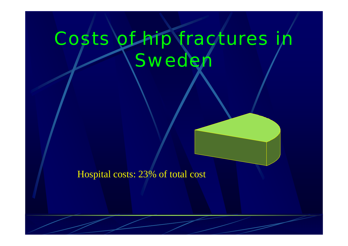# Costs of hip fractures in **Sweder**

#### Hospital costs: 23% of total cost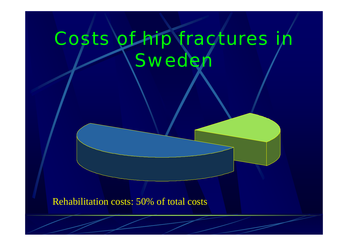# Costs of hip fractures in **Sweder**

Rehabilitation costs: 50% of total costs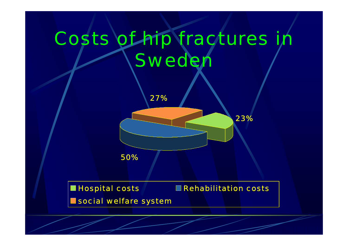# Costs of hip fractures in **Sweder**



Hos pital costs Rehabilitation costs social welfare systen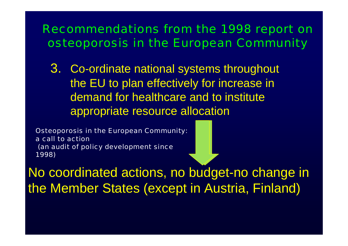3. Co-ordinate national systems throughout the EU to plan effectively for increase in demand for healthcare and to institute appropriate resource allocation

Osteoporosis in t he European C ommunity: a call to action(an audit of policy development since 1998)

No coordinated actions, no budget-no change in the Member States (except in Austria, Finland)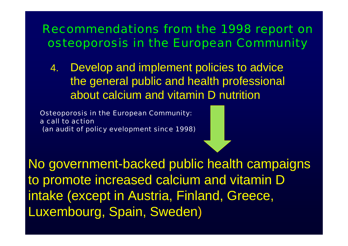4.Develop and implement policies to advice the general public and health professional about calcium and vitamin D nutrition

Osteoporosis in t he European C ommunity: a call t o action (an audit of policy evelopment since 1998)

No government-backed public health campaigns to promote increased calcium and vitamin D intake (except in Austria, Finland, Greece, Luxembourg, Spain, Sweden )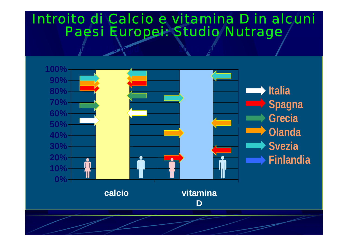### Introito di Calcio e vitamina D in alcuni Paesi Europei: Studio *Nutrage*

 $\boldsymbol{g}^{\boldsymbol{v}}$ 

RDA 1200 mg/d 10-15 mg/d 10-15 mg/d 10-15 mg/d 10-15 mg/d 10-15 mg/d 10-15 mg/d 10-15 mg/d 10-15 mg/d 10-15 mg/

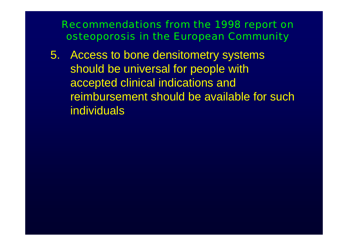5. Access to bone densitometry systems should be universal for people with accepted clinical indications and reimbursement should be available for such individuals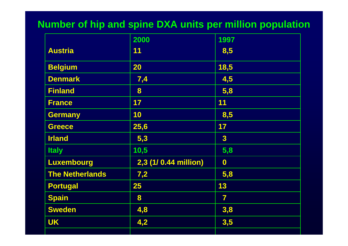#### **Number of hip and spine DXA units per million population**

|                        | 2000                 | 1997                    |
|------------------------|----------------------|-------------------------|
| <b>Austria</b>         | 11                   | 8,5                     |
| <b>Belgium</b>         | 20                   | 18,5                    |
| <b>Denmark</b>         | 7,4                  | 4,5                     |
| <b>Finland</b>         | 8                    | 5,8                     |
| <b>France</b>          | 17                   | 11                      |
| <b>Germany</b>         | 10                   | 8,5                     |
| <b>Greece</b>          | 25,6                 | 17                      |
| <b>Irland</b>          | 5,3                  | $\overline{\mathbf{3}}$ |
| <b>Italy</b>           | 10,5                 | 5,8                     |
| Luxembourg             | 2,3 (1/0.44 million) | $\boldsymbol{0}$        |
| <b>The Netherlands</b> | 7,2                  | 5,8                     |
| <b>Portugal</b>        | 25                   | 13                      |
| <b>Spain</b>           | 8                    | $\overline{7}$          |
| <b>Sweden</b>          | 4,8                  | 3,8                     |
| <b>UK</b>              | 4,2                  | 3,5                     |
|                        |                      |                         |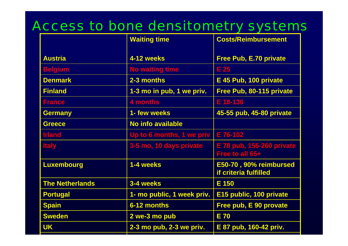## Access to bone densitometry systems

|                        | <b>Waiting time</b>        | <b>Costs/Reimbursement</b>                      |
|------------------------|----------------------------|-------------------------------------------------|
| <b>Austria</b>         | 4-12 weeks                 | <b>Free Pub, E.70 private</b>                   |
| <b>Belgium</b>         | <b>No waiting time</b>     | E 25                                            |
| <b>Denmark</b>         | 2-3 months                 | E 45 Pub, 100 private                           |
| <b>Finland</b>         | 1-3 mo in pub, 1 we priv.  | Free Pub, 80-115 private                        |
| <b>France</b>          | 4 months                   | E 18-136                                        |
| <b>Germany</b>         | 1- few weeks               | 45-55 pub, 45-80 private                        |
| <b>Greece</b>          | <b>No info available</b>   |                                                 |
| <b>Irland</b>          | Up to 6 months, 1 we priv  | E 76-102                                        |
| <b>Italy</b>           | 3-5 mo, 10 days private    | E 78 pub, 156-260 private<br>Free to all 65+    |
| <b>Luxembourg</b>      | 1-4 weeks                  | E50-70, 90% reimbursed<br>if criteria fulfilled |
| <b>The Netherlands</b> | 3-4 weeks                  | $E$ 150                                         |
| <b>Portugal</b>        | 1- mo public, 1 week priv. | E15 public, 100 private                         |
| <b>Spain</b>           | 6-12 months                | Free pub, E 90 provate                          |
| <b>Sweden</b>          | 2 we-3 mo pub              | <b>E70</b>                                      |
| <b>UK</b>              | 2-3 mo pub, 2-3 we priv.   | E 87 pub, 160-42 priv.                          |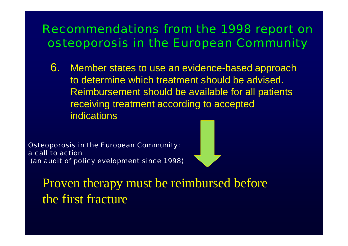6. Member states to use an evidence-based approach to determine which treatment should be advised. Reimbursement should be available for all patients receiving treatment according to accepted indications

Osteoporosis in t he European C ommunity: a call to action(an audit of policy evelopment since 1998)



Proven therapy must be reimbursed before the first fracture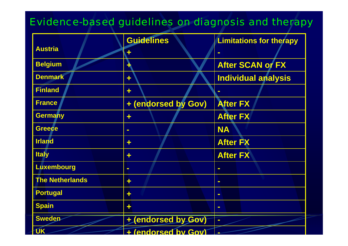#### Evidence-based guidelines on diagnosis and therapy

|                        | <b>Guidelines</b>   | <b>Limitations for therapy</b> |
|------------------------|---------------------|--------------------------------|
| <b>Austria</b>         |                     |                                |
| <b>Belgium</b>         |                     | <b>After SCAN or FX</b>        |
| <b>Denmark</b>         | ÷                   | <b>Individual analysis</b>     |
| <b>Finland</b>         | ÷                   |                                |
| <b>France</b>          | + (endorsed by Gov) | <b>After FX</b>                |
| <b>Germany</b>         | ÷                   | <b>After FX</b>                |
| <b>Greece</b>          | $\blacksquare$      | <b>NA</b>                      |
| <b>Irland</b>          | ÷                   | <b>After FX</b>                |
| <b>Italy</b>           | ÷                   | <b>After FX</b>                |
| Luxembourg             | $\blacksquare$      | $\blacksquare$                 |
| <b>The Netherlands</b> | ÷                   | $\blacksquare$                 |
| <b>Portugal</b>        | ÷                   | $\blacksquare$                 |
| <b>Spain</b>           | ÷                   | $\blacksquare$                 |
| <b>Sweden</b>          | + (endorsed by Gov) | $\blacksquare$                 |
| <b>UK</b>              | + (endorsed by Gov) |                                |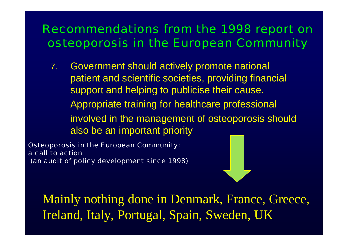7. Government should actively promote national patient and scientific societies, providing financial support and helping to publicise their cause. Appropriate training for healthcare professional involved in the management of osteoporosis should also be an important priority

Osteoporosis in t he European C ommunity: a call to action(an audit of policy development since 1998)



Mainly nothing done in Denmark, France, Greece, Ireland, Italy, Portugal, Spain, Sweden, UK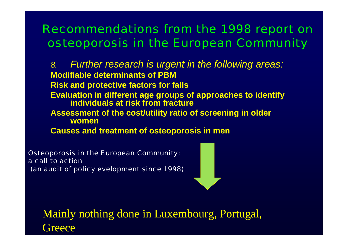*8. Further research is urgent in the following areas:* **Modifiable determinants of PBM Risk and protective factors for falls Evaluation in different a ge groups of approaches to identify individuals at risk from fractureAssessment of the cost/utility ratio of screening in older womenCauses and treatment of osteoporosis in men**

Osteoporosis in t he European C ommunity: a call to action(an audit of policy evelopment since 1998)



Mainly nothing done in Luxembourg, Portugal, **Greece**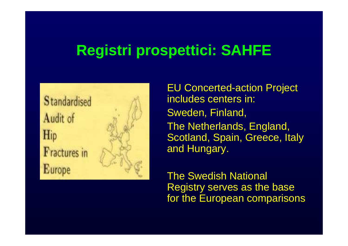# **Registri prospettici: SAHFE**



EU Concerted-action Project includes centers in: Sweden, Finland, The Netherlands, England, Scotland, Spain, Greece, Italy and Hungary.

The Swedish National Registry serves as the base for the European comparisons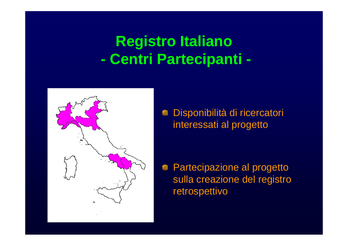#### **Registro Italiano -Centri Partecipanti -**



Disponibilità di ricercatori e interessati al progetto

Partecipazione al progetto sulla creazione del registro retrospettivo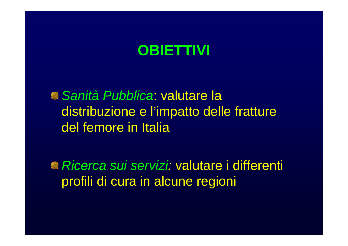# **OBIETTIVI**

*Sanità Pubblica*: valutare la distribuzione e l'impatto delle fratture del femore in Italia

*Ricerca sui servizi:* valutare i differenti profili di cura in alcune regioni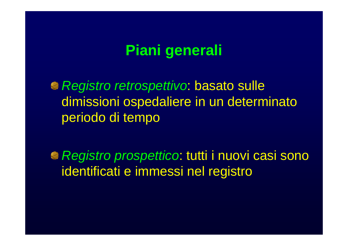# **Piani generali**

*Registro retrospettivo*: basato sulle dimissioni ospedaliere in un determinato periodo di tempo

*Registro prospettico*: tutti i nuovi casi sono identificati e immessi nel registro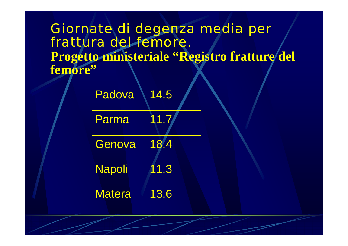### Giornate di degenza media per frattura del femore. Progetto ministeriale "Registro fratture del **femore"**

| Padova        | 14.5                            |  |
|---------------|---------------------------------|--|
| Parma         | 11.7                            |  |
| Genova        | 18.<br>$\overline{\mathcal{A}}$ |  |
| <b>Napoli</b> | 11.3                            |  |
| <b>Matera</b> | 13.6                            |  |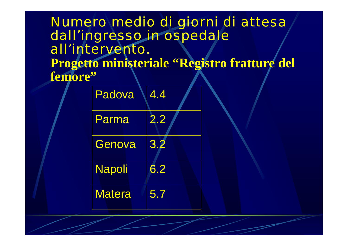### Numero medio di giorni di attesa dall'ingresso in ospedale all'intervento. **Progetto ministeriale "Registro fratture del femore"**

| Padova        | 4.4 |  |
|---------------|-----|--|
| Parma         | 2.2 |  |
| Genova        | 3.2 |  |
| <b>Napoli</b> | 6.2 |  |
| <b>Matera</b> | 5.7 |  |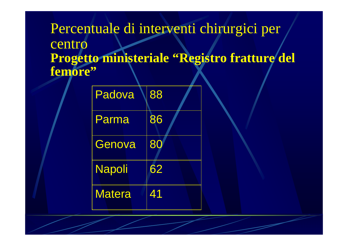Percentuale di interventi chirurgici per centro **Progetto ministeriale "Registro fratture del femore"**

| Padova        | 88 |  |
|---------------|----|--|
| Parma         | 86 |  |
| Genova        | 80 |  |
| <b>Napoli</b> | 62 |  |
| <b>Matera</b> | 41 |  |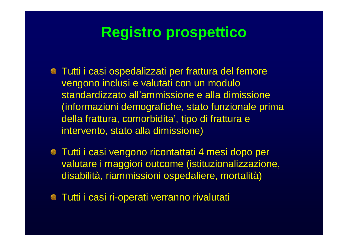# **Registro prospettico**

- Tutti i casi ospedalizzati per frattura del femore vengono inclusi e valutati con un modulo standardizzato all'ammissione e alla dimissione (informazioni demografiche, stato funzionale prima della frattura, comorbidita', tipo di frattura e intervento, stato alla dimissione)
- Tutti i casi vengono ricontattati 4 mesi dopo per valutare i maggiori outcome (istituzionalizzazione, disabilità, riammissioni ospedaliere, mortalità)
- Tutti i casi ri-operati verranno rivalutati $\bullet$